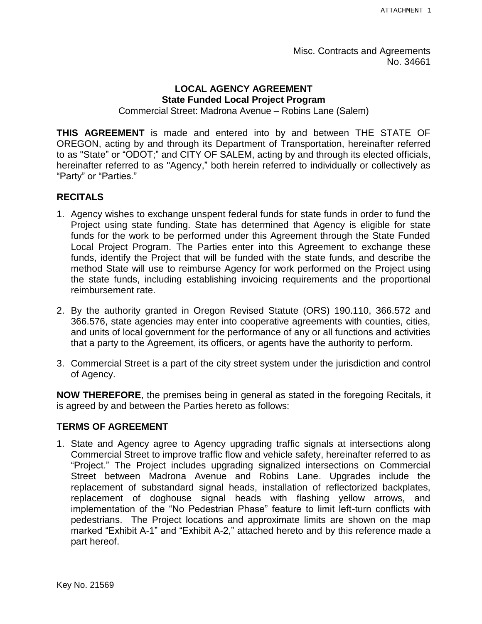Misc. Contracts and Agreements No. 34661

#### **LOCAL AGENCY AGREEMENT State Funded Local Project Program**

Commercial Street: Madrona Avenue – Robins Lane (Salem)

**THIS AGREEMENT** is made and entered into by and between THE STATE OF OREGON, acting by and through its Department of Transportation, hereinafter referred to as "State" or "ODOT;" and CITY OF SALEM, acting by and through its elected officials, hereinafter referred to as "Agency," both herein referred to individually or collectively as "Party" or "Parties."

#### **RECITALS**

- 1. Agency wishes to exchange unspent federal funds for state funds in order to fund the Project using state funding. State has determined that Agency is eligible for state funds for the work to be performed under this Agreement through the State Funded Local Project Program. The Parties enter into this Agreement to exchange these funds, identify the Project that will be funded with the state funds, and describe the method State will use to reimburse Agency for work performed on the Project using the state funds, including establishing invoicing requirements and the proportional reimbursement rate.
- 2. By the authority granted in Oregon Revised Statute (ORS) 190.110, 366.572 and 366.576, state agencies may enter into cooperative agreements with counties, cities, and units of local government for the performance of any or all functions and activities that a party to the Agreement, its officers, or agents have the authority to perform.
- 3. Commercial Street is a part of the city street system under the jurisdiction and control of Agency.

**NOW THEREFORE**, the premises being in general as stated in the foregoing Recitals, it is agreed by and between the Parties hereto as follows:

#### **TERMS OF AGREEMENT**

1. State and Agency agree to Agency upgrading traffic signals at intersections along Commercial Street to improve traffic flow and vehicle safety, hereinafter referred to as "Project." The Project includes upgrading signalized intersections on Commercial Street between Madrona Avenue and Robins Lane. Upgrades include the replacement of substandard signal heads, installation of reflectorized backplates, replacement of doghouse signal heads with flashing yellow arrows, and implementation of the "No Pedestrian Phase" feature to limit left-turn conflicts with pedestrians. The Project locations and approximate limits are shown on the map marked "Exhibit A-1" and "Exhibit A-2," attached hereto and by this reference made a part hereof.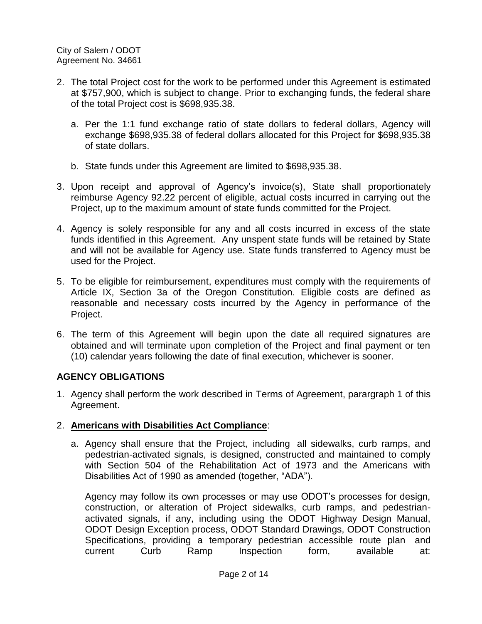- 2. The total Project cost for the work to be performed under this Agreement is estimated at \$757,900, which is subject to change. Prior to exchanging funds, the federal share of the total Project cost is \$698,935.38.
	- a. Per the 1:1 fund exchange ratio of state dollars to federal dollars, Agency will exchange \$698,935.38 of federal dollars allocated for this Project for \$698,935.38 of state dollars.
	- b. State funds under this Agreement are limited to \$698,935.38.
- 3. Upon receipt and approval of Agency's invoice(s), State shall proportionately reimburse Agency 92.22 percent of eligible, actual costs incurred in carrying out the Project, up to the maximum amount of state funds committed for the Project.
- 4. Agency is solely responsible for any and all costs incurred in excess of the state funds identified in this Agreement. Any unspent state funds will be retained by State and will not be available for Agency use. State funds transferred to Agency must be used for the Project.
- 5. To be eligible for reimbursement, expenditures must comply with the requirements of Article IX, Section 3a of the Oregon Constitution. Eligible costs are defined as reasonable and necessary costs incurred by the Agency in performance of the Project.
- 6. The term of this Agreement will begin upon the date all required signatures are obtained and will terminate upon completion of the Project and final payment or ten (10) calendar years following the date of final execution, whichever is sooner.

# **AGENCY OBLIGATIONS**

1. Agency shall perform the work described in Terms of Agreement, parargraph 1 of this Agreement.

# 2. **Americans with Disabilities Act Compliance**:

a. Agency shall ensure that the Project, including all sidewalks, curb ramps, and pedestrian-activated signals, is designed, constructed and maintained to comply with Section 504 of the Rehabilitation Act of 1973 and the Americans with Disabilities Act of 1990 as amended (together, "ADA").

Agency may follow its own processes or may use ODOT's processes for design, construction, or alteration of Project sidewalks, curb ramps, and pedestrianactivated signals, if any, including using the ODOT Highway Design Manual, ODOT Design Exception process, ODOT Standard Drawings, ODOT Construction Specifications, providing a temporary pedestrian accessible route plan and current Curb Ramp Inspection form, available at: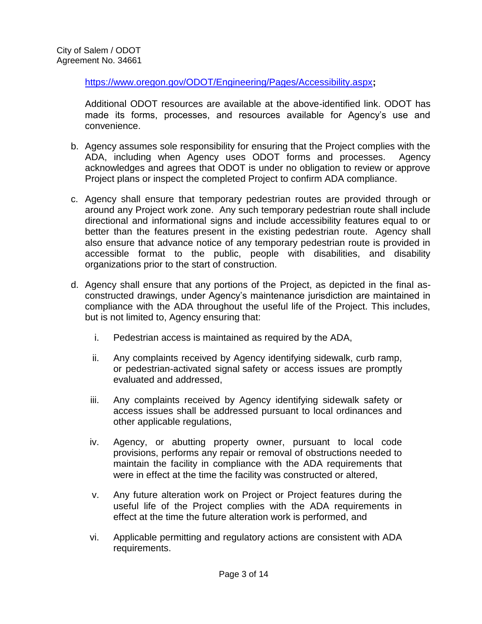https://www.oregon.gov/ODOT/Engineering/Pages/Accessibility.aspx**;**

Additional ODOT resources are available at the above-identified link. ODOT has made its forms, processes, and resources available for Agency's use and convenience.

- b. Agency assumes sole responsibility for ensuring that the Project complies with the ADA, including when Agency uses ODOT forms and processes. Agency acknowledges and agrees that ODOT is under no obligation to review or approve Project plans or inspect the completed Project to confirm ADA compliance.
- c. Agency shall ensure that temporary pedestrian routes are provided through or around any Project work zone. Any such temporary pedestrian route shall include directional and informational signs and include accessibility features equal to or better than the features present in the existing pedestrian route. Agency shall also ensure that advance notice of any temporary pedestrian route is provided in accessible format to the public, people with disabilities, and disability organizations prior to the start of construction.
- d. Agency shall ensure that any portions of the Project, as depicted in the final asconstructed drawings, under Agency's maintenance jurisdiction are maintained in compliance with the ADA throughout the useful life of the Project. This includes, but is not limited to, Agency ensuring that:
	- i. Pedestrian access is maintained as required by the ADA,
	- ii. Any complaints received by Agency identifying sidewalk, curb ramp, or pedestrian-activated signal safety or access issues are promptly evaluated and addressed,
	- iii. Any complaints received by Agency identifying sidewalk safety or access issues shall be addressed pursuant to local ordinances and other applicable regulations,
	- iv. Agency, or abutting property owner, pursuant to local code provisions, performs any repair or removal of obstructions needed to maintain the facility in compliance with the ADA requirements that were in effect at the time the facility was constructed or altered,
	- v. Any future alteration work on Project or Project features during the useful life of the Project complies with the ADA requirements in effect at the time the future alteration work is performed, and
	- vi. Applicable permitting and regulatory actions are consistent with ADA requirements.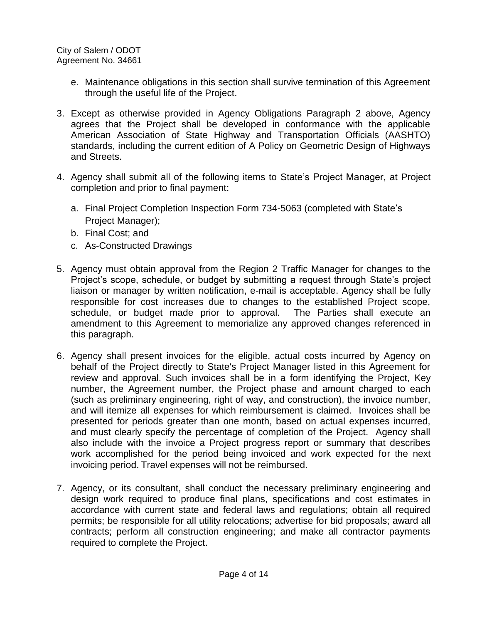- e. Maintenance obligations in this section shall survive termination of this Agreement through the useful life of the Project.
- 3. Except as otherwise provided in Agency Obligations Paragraph 2 above, Agency agrees that the Project shall be developed in conformance with the applicable American Association of State Highway and Transportation Officials (AASHTO) standards, including the current edition of A Policy on Geometric Design of Highways and Streets.
- 4. Agency shall submit all of the following items to State's Project Manager, at Project completion and prior to final payment:
	- a. Final Project Completion Inspection Form 734-5063 (completed with State's Project Manager);
	- b. Final Cost; and
	- c. As-Constructed Drawings
- 5. Agency must obtain approval from the Region 2 Traffic Manager for changes to the Project's scope, schedule, or budget by submitting a request through State's project liaison or manager by written notification, e-mail is acceptable. Agency shall be fully responsible for cost increases due to changes to the established Project scope, schedule, or budget made prior to approval. The Parties shall execute an amendment to this Agreement to memorialize any approved changes referenced in this paragraph.
- 6. Agency shall present invoices for the eligible, actual costs incurred by Agency on behalf of the Project directly to State's Project Manager listed in this Agreement for review and approval. Such invoices shall be in a form identifying the Project, Key number, the Agreement number, the Project phase and amount charged to each (such as preliminary engineering, right of way, and construction), the invoice number, and will itemize all expenses for which reimbursement is claimed. Invoices shall be presented for periods greater than one month, based on actual expenses incurred, and must clearly specify the percentage of completion of the Project. Agency shall also include with the invoice a Project progress report or summary that describes work accomplished for the period being invoiced and work expected for the next invoicing period. Travel expenses will not be reimbursed.
- 7. Agency, or its consultant, shall conduct the necessary preliminary engineering and design work required to produce final plans, specifications and cost estimates in accordance with current state and federal laws and regulations; obtain all required permits; be responsible for all utility relocations; advertise for bid proposals; award all contracts; perform all construction engineering; and make all contractor payments required to complete the Project.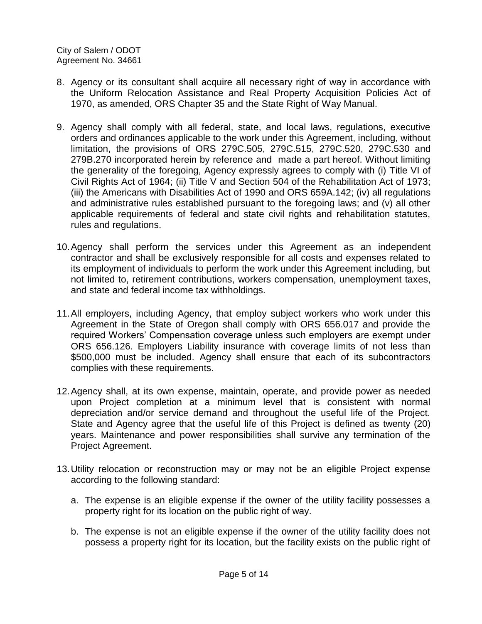- 8. Agency or its consultant shall acquire all necessary right of way in accordance with the Uniform Relocation Assistance and Real Property Acquisition Policies Act of 1970, as amended, ORS Chapter 35 and the State Right of Way Manual.
- 9. Agency shall comply with all federal, state, and local laws, regulations, executive orders and ordinances applicable to the work under this Agreement, including, without limitation, the provisions of ORS [279C.505,](http://www.leg.state.or.us/ors/279c.html) [279C.515,](http://www.leg.state.or.us/ors/279c.html) [279C.520,](http://www.leg.state.or.us/ors/279c.html) [279C.530](http://www.leg.state.or.us/ors/279c.html) and [279B.270](http://landru.leg.state.or.us/ors/279b.html) incorporated herein by reference and made a part hereof. Without limiting the generality of the foregoing, Agency expressly agrees to comply with (i) [Title VI of](http://www.usdoj.gov/crt/cor/coord/titlevistat.htm)  [Civil Rights Act of 1964;](http://www.usdoj.gov/crt/cor/coord/titlevistat.htm) (ii) [Title V and Section 504 of the Rehabilitation Act of 1973;](http://academic.wsc.edu/frc/disable.html) (iii) the [Americans with Disabilities Act of 1990](http://www.dol.gov/esa/regs/statutes/ofccp/ada.htm) and ORS [659A.142;](http://landru.leg.state.or.us/ors/659a.html) (iv) all regulations and administrative rules established pursuant to the foregoing laws; and (v) all other applicable requirements of federal and state civil rights and rehabilitation statutes, rules and regulations.
- 10.Agency shall perform the services under this Agreement as an independent contractor and shall be exclusively responsible for all costs and expenses related to its employment of individuals to perform the work under this Agreement including, but not limited to, retirement contributions, workers compensation, unemployment taxes, and state and federal income tax withholdings.
- 11.All employers, including Agency, that employ subject workers who work under this Agreement in the State of Oregon shall comply with ORS 656.017 and provide the required Workers' Compensation coverage unless such employers are exempt under ORS 656.126. Employers Liability insurance with coverage limits of not less than \$500,000 must be included. Agency shall ensure that each of its subcontractors complies with these requirements.
- 12.Agency shall, at its own expense, maintain, operate, and provide power as needed upon Project completion at a minimum level that is consistent with normal depreciation and/or service demand and throughout the useful life of the Project. State and Agency agree that the useful life of this Project is defined as twenty (20) years. Maintenance and power responsibilities shall survive any termination of the Project Agreement.
- 13.Utility relocation or reconstruction may or may not be an eligible Project expense according to the following standard:
	- a. The expense is an eligible expense if the owner of the utility facility possesses a property right for its location on the public right of way.
	- b. The expense is not an eligible expense if the owner of the utility facility does not possess a property right for its location, but the facility exists on the public right of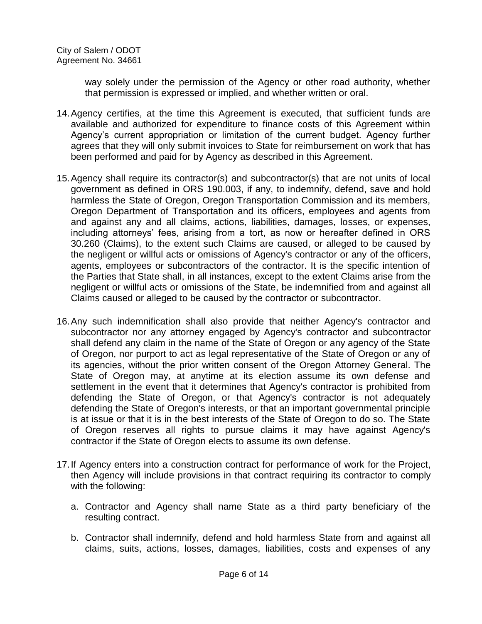way solely under the permission of the Agency or other road authority, whether that permission is expressed or implied, and whether written or oral.

- 14.Agency certifies, at the time this Agreement is executed, that sufficient funds are available and authorized for expenditure to finance costs of this Agreement within Agency's current appropriation or limitation of the current budget. Agency further agrees that they will only submit invoices to State for reimbursement on work that has been performed and paid for by Agency as described in this Agreement.
- 15.Agency shall require its contractor(s) and subcontractor(s) that are not units of local government as defined in ORS 190.003, if any, to indemnify, defend, save and hold harmless the State of Oregon, Oregon Transportation Commission and its members, Oregon Department of Transportation and its officers, employees and agents from and against any and all claims, actions, liabilities, damages, losses, or expenses, including attorneys' fees, arising from a tort, as now or hereafter defined in ORS 30.260 (Claims), to the extent such Claims are caused, or alleged to be caused by the negligent or willful acts or omissions of Agency's contractor or any of the officers, agents, employees or subcontractors of the contractor. It is the specific intention of the Parties that State shall, in all instances, except to the extent Claims arise from the negligent or willful acts or omissions of the State, be indemnified from and against all Claims caused or alleged to be caused by the contractor or subcontractor.
- 16.Any such indemnification shall also provide that neither Agency's contractor and subcontractor nor any attorney engaged by Agency's contractor and subcontractor shall defend any claim in the name of the State of Oregon or any agency of the State of Oregon, nor purport to act as legal representative of the State of Oregon or any of its agencies, without the prior written consent of the Oregon Attorney General. The State of Oregon may, at anytime at its election assume its own defense and settlement in the event that it determines that Agency's contractor is prohibited from defending the State of Oregon, or that Agency's contractor is not adequately defending the State of Oregon's interests, or that an important governmental principle is at issue or that it is in the best interests of the State of Oregon to do so. The State of Oregon reserves all rights to pursue claims it may have against Agency's contractor if the State of Oregon elects to assume its own defense.
- 17.If Agency enters into a construction contract for performance of work for the Project, then Agency will include provisions in that contract requiring its contractor to comply with the following:
	- a. Contractor and Agency shall name State as a third party beneficiary of the resulting contract.
	- b. Contractor shall indemnify, defend and hold harmless State from and against all claims, suits, actions, losses, damages, liabilities, costs and expenses of any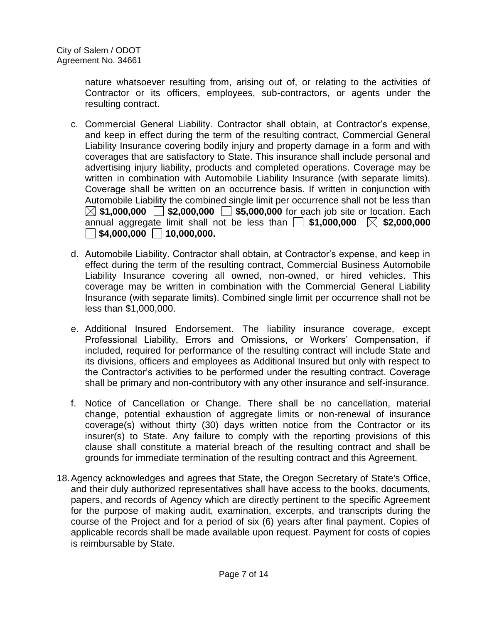nature whatsoever resulting from, arising out of, or relating to the activities of Contractor or its officers, employees, sub-contractors, or agents under the resulting contract.

- c. Commercial General Liability. Contractor shall obtain, at Contractor's expense, and keep in effect during the term of the resulting contract, Commercial General Liability Insurance covering bodily injury and property damage in a form and with coverages that are satisfactory to State. This insurance shall include personal and advertising injury liability, products and completed operations. Coverage may be written in combination with Automobile Liability Insurance (with separate limits). Coverage shall be written on an occurrence basis. If written in conjunction with Automobile Liability the combined single limit per occurrence shall not be less than  $\boxtimes$  \$1,000,000  $\Box$  \$2,000,000  $\Box$  \$5,000,000 for each job site or location. Each annual aggregate limit shall not be less than  $\Box$  \$1,000,000  $\boxtimes$  \$2,000,000  $\Box$  \$4,000,000  $\Box$  10,000,000.
- d. Automobile Liability. Contractor shall obtain, at Contractor's expense, and keep in effect during the term of the resulting contract, Commercial Business Automobile Liability Insurance covering all owned, non-owned, or hired vehicles. This coverage may be written in combination with the Commercial General Liability Insurance (with separate limits). Combined single limit per occurrence shall not be less than \$1,000,000.
- e. Additional Insured Endorsement. The liability insurance coverage, except Professional Liability, Errors and Omissions, or Workers' Compensation, if included, required for performance of the resulting contract will include State and its divisions, officers and employees as Additional Insured but only with respect to the Contractor's activities to be performed under the resulting contract. Coverage shall be primary and non-contributory with any other insurance and self-insurance.
- f. Notice of Cancellation or Change. There shall be no cancellation, material change, potential exhaustion of aggregate limits or non-renewal of insurance coverage(s) without thirty (30) days written notice from the Contractor or its insurer(s) to State. Any failure to comply with the reporting provisions of this clause shall constitute a material breach of the resulting contract and shall be grounds for immediate termination of the resulting contract and this Agreement.
- 18.Agency acknowledges and agrees that State, the Oregon Secretary of State's Office, and their duly authorized representatives shall have access to the books, documents, papers, and records of Agency which are directly pertinent to the specific Agreement for the purpose of making audit, examination, excerpts, and transcripts during the course of the Project and for a period of six (6) years after final payment. Copies of applicable records shall be made available upon request. Payment for costs of copies is reimbursable by State.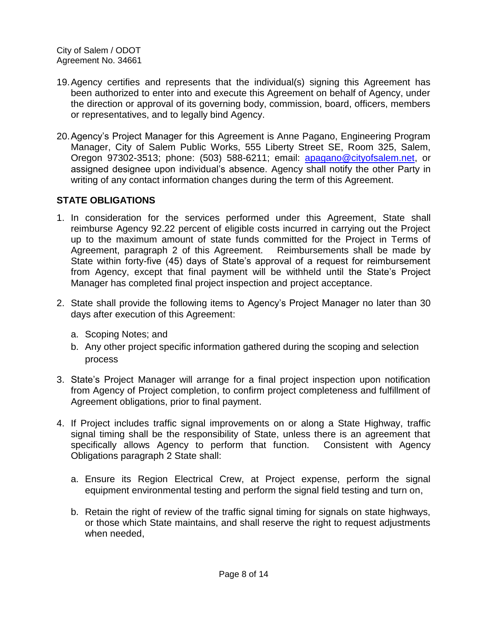- 19.Agency certifies and represents that the individual(s) signing this Agreement has been authorized to enter into and execute this Agreement on behalf of Agency, under the direction or approval of its governing body, commission, board, officers, members or representatives, and to legally bind Agency.
- 20.Agency's Project Manager for this Agreement is Anne Pagano, Engineering Program Manager, City of Salem Public Works, 555 Liberty Street SE, Room 325, Salem, Oregon 97302-3513; phone: (503) 588-6211; email: [apagano@cityofsalem.net,](mailto:ribarnes@cityofsalem.net) or assigned designee upon individual's absence. Agency shall notify the other Party in writing of any contact information changes during the term of this Agreement.

# **STATE OBLIGATIONS**

- 1. In consideration for the services performed under this Agreement, State shall reimburse Agency 92.22 percent of eligible costs incurred in carrying out the Project up to the maximum amount of state funds committed for the Project in Terms of Agreement, paragraph 2 of this Agreement. Reimbursements shall be made by State within forty-five (45) days of State's approval of a request for reimbursement from Agency, except that final payment will be withheld until the State's Project Manager has completed final project inspection and project acceptance.
- 2. State shall provide the following items to Agency's Project Manager no later than 30 days after execution of this Agreement:
	- a. Scoping Notes; and
	- b. Any other project specific information gathered during the scoping and selection process
- 3. State's Project Manager will arrange for a final project inspection upon notification from Agency of Project completion, to confirm project completeness and fulfillment of Agreement obligations, prior to final payment.
- 4. If Project includes traffic signal improvements on or along a State Highway, traffic signal timing shall be the responsibility of State, unless there is an agreement that specifically allows Agency to perform that function. Consistent with Agency Obligations paragraph 2 State shall:
	- a. Ensure its Region Electrical Crew, at Project expense, perform the signal equipment environmental testing and perform the signal field testing and turn on,
	- b. Retain the right of review of the traffic signal timing for signals on state highways, or those which State maintains, and shall reserve the right to request adjustments when needed,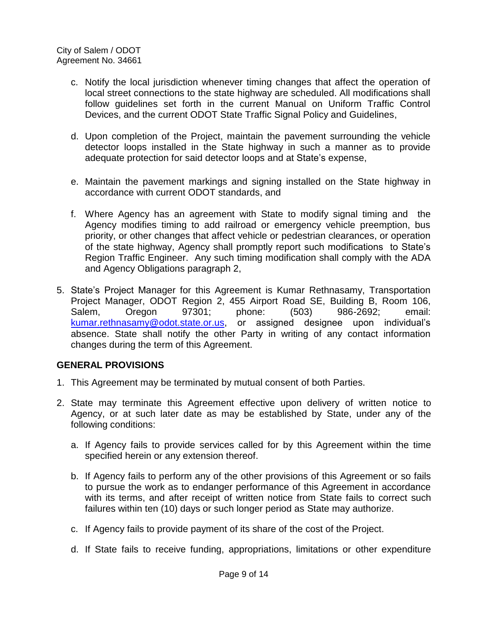- c. Notify the local jurisdiction whenever timing changes that affect the operation of local street connections to the state highway are scheduled. All modifications shall follow guidelines set forth in the current Manual on Uniform Traffic Control Devices, and the current ODOT State Traffic Signal Policy and Guidelines,
- d. Upon completion of the Project, maintain the pavement surrounding the vehicle detector loops installed in the State highway in such a manner as to provide adequate protection for said detector loops and at State's expense,
- e. Maintain the pavement markings and signing installed on the State highway in accordance with current ODOT standards, and
- f. Where Agency has an agreement with State to modify signal timing and the Agency modifies timing to add railroad or emergency vehicle preemption, bus priority, or other changes that affect vehicle or pedestrian clearances, or operation of the state highway, Agency shall promptly report such modifications to State's Region Traffic Engineer. Any such timing modification shall comply with the ADA and Agency Obligations paragraph 2,
- 5. State's Project Manager for this Agreement is Kumar Rethnasamy, Transportation Project Manager, ODOT Region 2, 455 Airport Road SE, Building B, Room 106, Salem, Oregon 97301; phone: (503) 986-2692; email: [kumar.rethnasamy@odot.state.or.us,](mailto:kumar.rethnasamy@odot.state.or.us) or assigned designee upon individual's absence. State shall notify the other Party in writing of any contact information changes during the term of this Agreement.

# **GENERAL PROVISIONS**

- 1. This Agreement may be terminated by mutual consent of both Parties.
- 2. State may terminate this Agreement effective upon delivery of written notice to Agency, or at such later date as may be established by State, under any of the following conditions:
	- a. If Agency fails to provide services called for by this Agreement within the time specified herein or any extension thereof.
	- b. If Agency fails to perform any of the other provisions of this Agreement or so fails to pursue the work as to endanger performance of this Agreement in accordance with its terms, and after receipt of written notice from State fails to correct such failures within ten (10) days or such longer period as State may authorize.
	- c. If Agency fails to provide payment of its share of the cost of the Project.
	- d. If State fails to receive funding, appropriations, limitations or other expenditure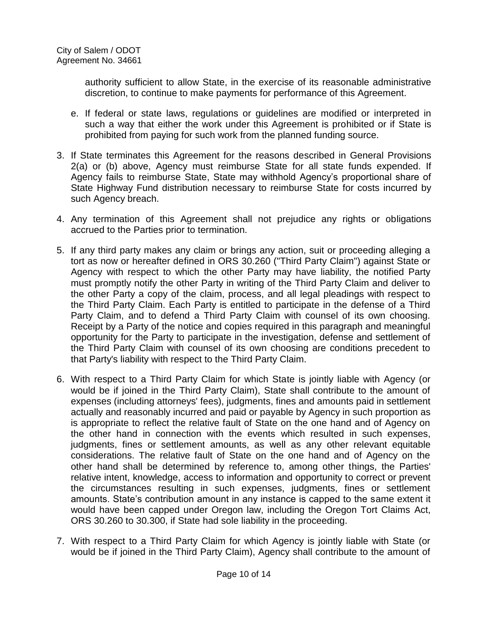authority sufficient to allow State, in the exercise of its reasonable administrative discretion, to continue to make payments for performance of this Agreement.

- e. If federal or state laws, regulations or guidelines are modified or interpreted in such a way that either the work under this Agreement is prohibited or if State is prohibited from paying for such work from the planned funding source.
- 3. If State terminates this Agreement for the reasons described in General Provisions 2(a) or (b) above, Agency must reimburse State for all state funds expended. If Agency fails to reimburse State, State may withhold Agency's proportional share of State Highway Fund distribution necessary to reimburse State for costs incurred by such Agency breach.
- 4. Any termination of this Agreement shall not prejudice any rights or obligations accrued to the Parties prior to termination.
- 5. If any third party makes any claim or brings any action, suit or proceeding alleging a tort as now or hereafter defined in ORS 30.260 ("Third Party Claim") against State or Agency with respect to which the other Party may have liability, the notified Party must promptly notify the other Party in writing of the Third Party Claim and deliver to the other Party a copy of the claim, process, and all legal pleadings with respect to the Third Party Claim. Each Party is entitled to participate in the defense of a Third Party Claim, and to defend a Third Party Claim with counsel of its own choosing. Receipt by a Party of the notice and copies required in this paragraph and meaningful opportunity for the Party to participate in the investigation, defense and settlement of the Third Party Claim with counsel of its own choosing are conditions precedent to that Party's liability with respect to the Third Party Claim.
- 6. With respect to a Third Party Claim for which State is jointly liable with Agency (or would be if joined in the Third Party Claim), State shall contribute to the amount of expenses (including attorneys' fees), judgments, fines and amounts paid in settlement actually and reasonably incurred and paid or payable by Agency in such proportion as is appropriate to reflect the relative fault of State on the one hand and of Agency on the other hand in connection with the events which resulted in such expenses, judgments, fines or settlement amounts, as well as any other relevant equitable considerations. The relative fault of State on the one hand and of Agency on the other hand shall be determined by reference to, among other things, the Parties' relative intent, knowledge, access to information and opportunity to correct or prevent the circumstances resulting in such expenses, judgments, fines or settlement amounts. State's contribution amount in any instance is capped to the same extent it would have been capped under Oregon law, including the Oregon Tort Claims Act, ORS 30.260 to 30.300, if State had sole liability in the proceeding.
- 7. With respect to a Third Party Claim for which Agency is jointly liable with State (or would be if joined in the Third Party Claim), Agency shall contribute to the amount of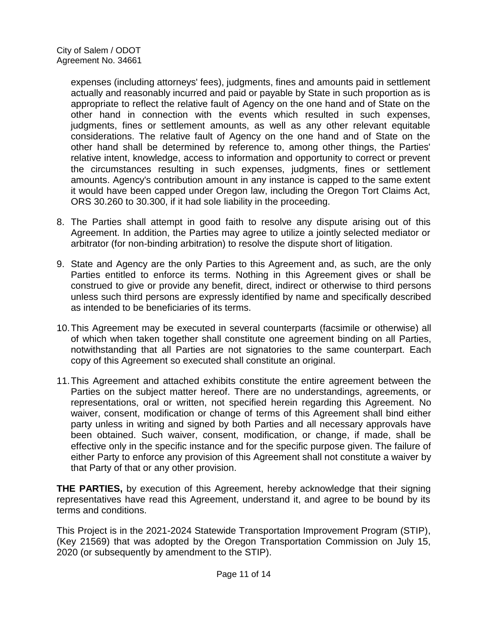expenses (including attorneys' fees), judgments, fines and amounts paid in settlement actually and reasonably incurred and paid or payable by State in such proportion as is appropriate to reflect the relative fault of Agency on the one hand and of State on the other hand in connection with the events which resulted in such expenses, judgments, fines or settlement amounts, as well as any other relevant equitable considerations. The relative fault of Agency on the one hand and of State on the other hand shall be determined by reference to, among other things, the Parties' relative intent, knowledge, access to information and opportunity to correct or prevent the circumstances resulting in such expenses, judgments, fines or settlement amounts. Agency's contribution amount in any instance is capped to the same extent it would have been capped under Oregon law, including the Oregon Tort Claims Act, ORS 30.260 to 30.300, if it had sole liability in the proceeding.

- 8. The Parties shall attempt in good faith to resolve any dispute arising out of this Agreement. In addition, the Parties may agree to utilize a jointly selected mediator or arbitrator (for non-binding arbitration) to resolve the dispute short of litigation.
- 9. State and Agency are the only Parties to this Agreement and, as such, are the only Parties entitled to enforce its terms. Nothing in this Agreement gives or shall be construed to give or provide any benefit, direct, indirect or otherwise to third persons unless such third persons are expressly identified by name and specifically described as intended to be beneficiaries of its terms.
- 10.This Agreement may be executed in several counterparts (facsimile or otherwise) all of which when taken together shall constitute one agreement binding on all Parties, notwithstanding that all Parties are not signatories to the same counterpart. Each copy of this Agreement so executed shall constitute an original.
- 11.This Agreement and attached exhibits constitute the entire agreement between the Parties on the subject matter hereof. There are no understandings, agreements, or representations, oral or written, not specified herein regarding this Agreement. No waiver, consent, modification or change of terms of this Agreement shall bind either party unless in writing and signed by both Parties and all necessary approvals have been obtained. Such waiver, consent, modification, or change, if made, shall be effective only in the specific instance and for the specific purpose given. The failure of either Party to enforce any provision of this Agreement shall not constitute a waiver by that Party of that or any other provision.

**THE PARTIES,** by execution of this Agreement, hereby acknowledge that their signing representatives have read this Agreement, understand it, and agree to be bound by its terms and conditions.

This Project is in the 2021-2024 Statewide Transportation Improvement Program (STIP), (Key 21569) that was adopted by the Oregon Transportation Commission on July 15, 2020 (or subsequently by amendment to the STIP).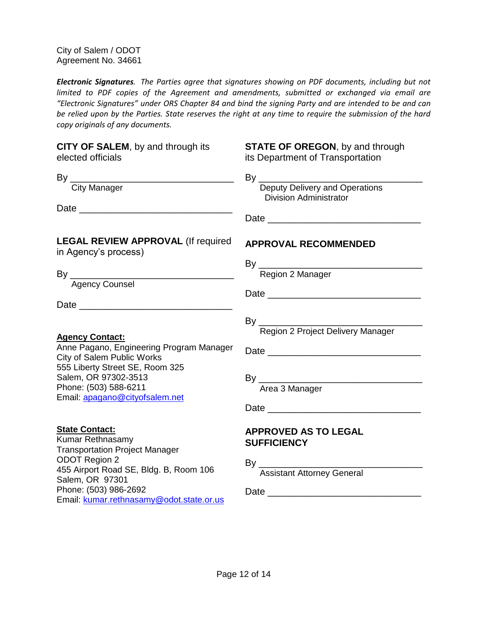*Electronic Signatures. The Parties agree that signatures showing on PDF documents, including but not limited to PDF copies of the Agreement and amendments, submitted or exchanged via email are "Electronic Signatures" under ORS Chapter 84 and bind the signing Party and are intended to be and can be relied upon by the Parties. State reserves the right at any time to require the submission of the hard copy originals of any documents.*

| CITY OF SALEM, by and through its<br>elected officials                                                                                                                                                                                       | <b>STATE OF OREGON, by and through</b><br>its Department of Transportation             |
|----------------------------------------------------------------------------------------------------------------------------------------------------------------------------------------------------------------------------------------------|----------------------------------------------------------------------------------------|
| <b>City Manager</b>                                                                                                                                                                                                                          | Deputy Delivery and Operations<br><b>Division Administrator</b>                        |
|                                                                                                                                                                                                                                              |                                                                                        |
| <b>LEGAL REVIEW APPROVAL (If required</b><br>in Agency's process)                                                                                                                                                                            | <b>APPROVAL RECOMMENDED</b>                                                            |
|                                                                                                                                                                                                                                              | By<br>Region 2 Manager                                                                 |
|                                                                                                                                                                                                                                              |                                                                                        |
| <b>Agency Contact:</b><br>Anne Pagano, Engineering Program Manager<br>City of Salem Public Works<br>555 Liberty Street SE, Room 325<br>Salem, OR 97302-3513<br>Phone: (503) 588-6211<br>Email: apagano@cityofsalem.net                       |                                                                                        |
| <u>State Contact:</u><br>Kumar Rethnasamy<br><b>Transportation Project Manager</b><br><b>ODOT Region 2</b><br>455 Airport Road SE, Bldg. B, Room 106<br>Salem, OR 97301<br>Phone: (503) 986-2692<br>Email: kumar.rethnasamy@odot.state.or.us | <b>APPROVED AS TO LEGAL</b><br><b>SUFFICIENCY</b><br><b>Assistant Attorney General</b> |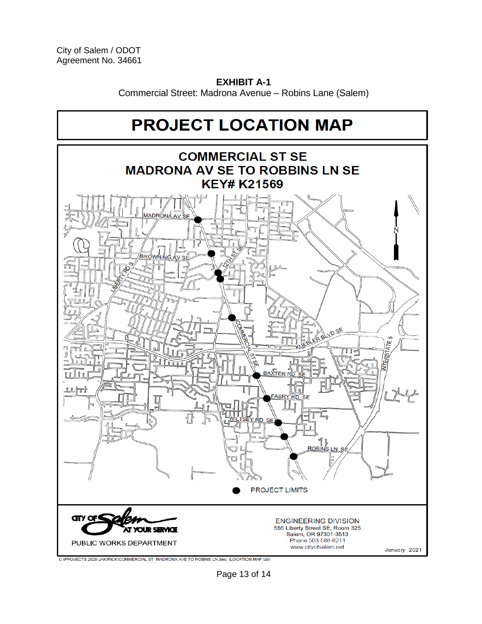**EXHIBIT A-1** Commercial Street: Madrona Avenue – Robins Lane (Salem)



C:\PROJECTS 2020-JAK\RICK\COMMERCIAL ST-MADRONA AVE TO ROBINS LN.dwg (LOCATION MAP tab)

Page 13 of 14